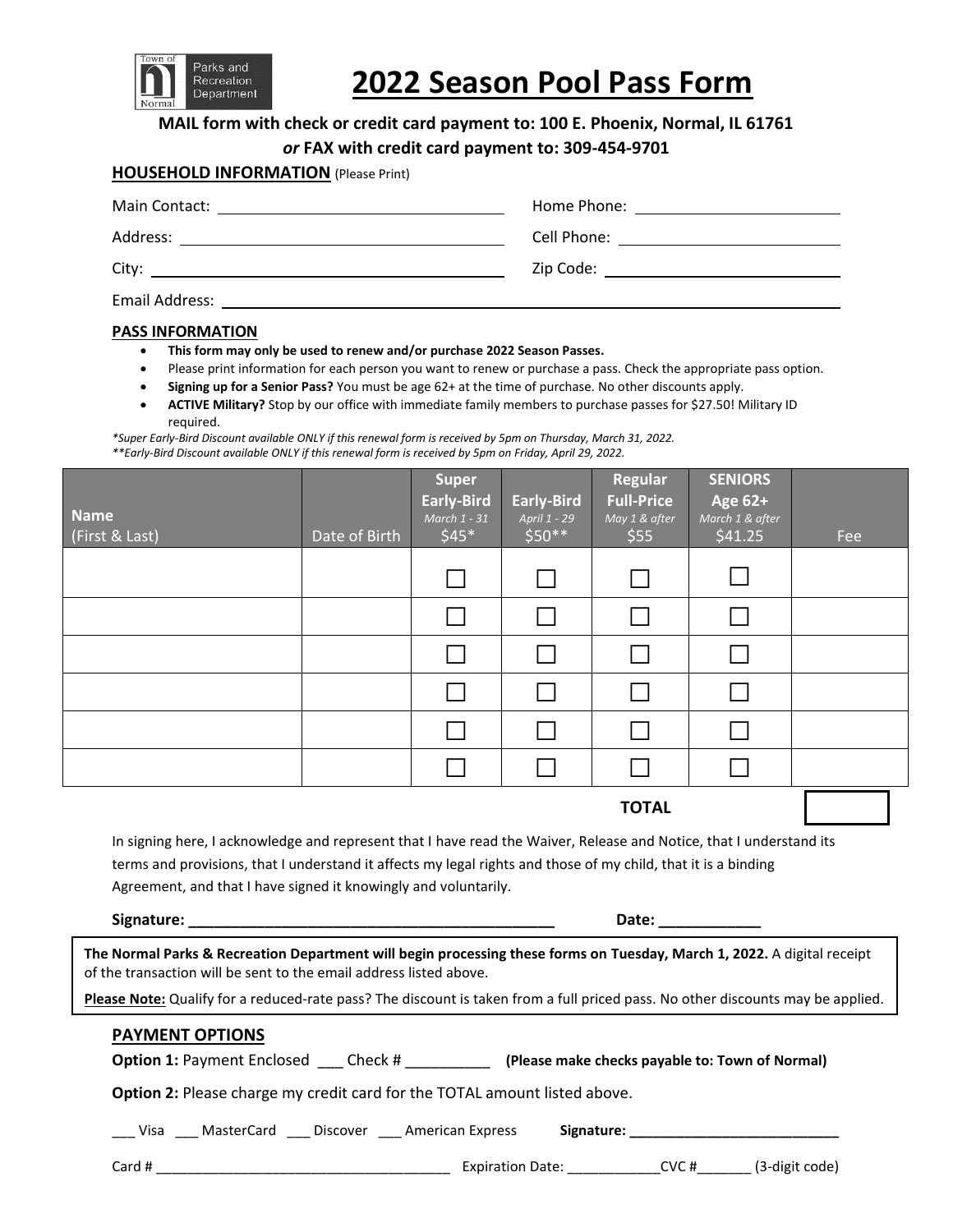

# **2022 Season Pool Pass Form**

**MAIL form with check or credit card payment to: 100 E. Phoenix, Normal, IL 61761**

*or* **FAX with credit card payment to: 309-454-9701**

## **HOUSEHOLD INFORMATION** (Please Print)

| Main Contact:<br><u> 1989 - John Stein, september 1989 - John Stein, september 1989 - John Stein, september 1989 - John Stein, sep</u> | Home Phone: ________________________                             |
|----------------------------------------------------------------------------------------------------------------------------------------|------------------------------------------------------------------|
| Address:                                                                                                                               | Cell Phone: <u>___________________________</u>                   |
|                                                                                                                                        | <b>Zip Code: Example 2 Code: Example 2 Code: Example 2 Code:</b> |
| <b>Email Address:</b>                                                                                                                  |                                                                  |

### **PASS INFORMATION**

- **This form may only be used to renew and/or purchase 2022 Season Passes.**
- Please print information for each person you want to renew or purchase a pass. Check the appropriate pass option.
- **Signing up for a Senior Pass?** You must be age 62+ at the time of purchase. No other discounts apply.
- **ACTIVE Military?** Stop by our office with immediate family members to purchase passes for \$27.50! Military ID required.

*\*Super Early-Bird Discount available ONLY if this renewal form is received by 5pm on Thursday, March 31, 2022. \*\*Early-Bird Discount available ONLY if this renewal form is received by 5pm on Friday, April 29, 2022.*

**TOTAL**

In signing here, I acknowledge and represent that I have read the Waiver, Release and Notice, that I understand its terms and provisions, that I understand it affects my legal rights and those of my child, that it is a binding Agreement, and that I have signed it knowingly and voluntarily.

| Signature:                                                                                                              | Date: |
|-------------------------------------------------------------------------------------------------------------------------|-------|
| The Normal Parks & Recreation Department will begin processing these forms on Tuesday, March 1, 2022. A digital receipt |       |
| of the transaction will be sent to the email address listed above.                                                      |       |

**Please Note:** Qualify for a reduced-rate pass? The discount is taken from a full priced pass. No other discounts may be applied.

## **PAYMENT OPTIONS**

| <b>Option 1: Payment Enclosed</b><br>Check # | (Please make checks payable to: Town of Normal) |
|----------------------------------------------|-------------------------------------------------|
|----------------------------------------------|-------------------------------------------------|

**Option 2:** Please charge my credit card for the TOTAL amount listed above.

\_\_\_ Visa \_\_\_ MasterCard \_\_\_ Discover \_\_\_ American Express **Signature: \_\_\_\_\_\_\_\_\_\_\_\_\_\_\_\_\_\_\_\_\_\_\_\_\_\_\_**

Card # \_\_\_\_\_\_\_\_\_\_\_\_\_\_\_\_\_\_\_\_\_\_\_\_\_\_\_\_\_\_\_\_\_\_\_\_\_\_ Expiration Date: \_\_\_\_\_\_\_\_\_\_\_\_CVC #\_\_\_\_\_\_\_ (3-digit code)